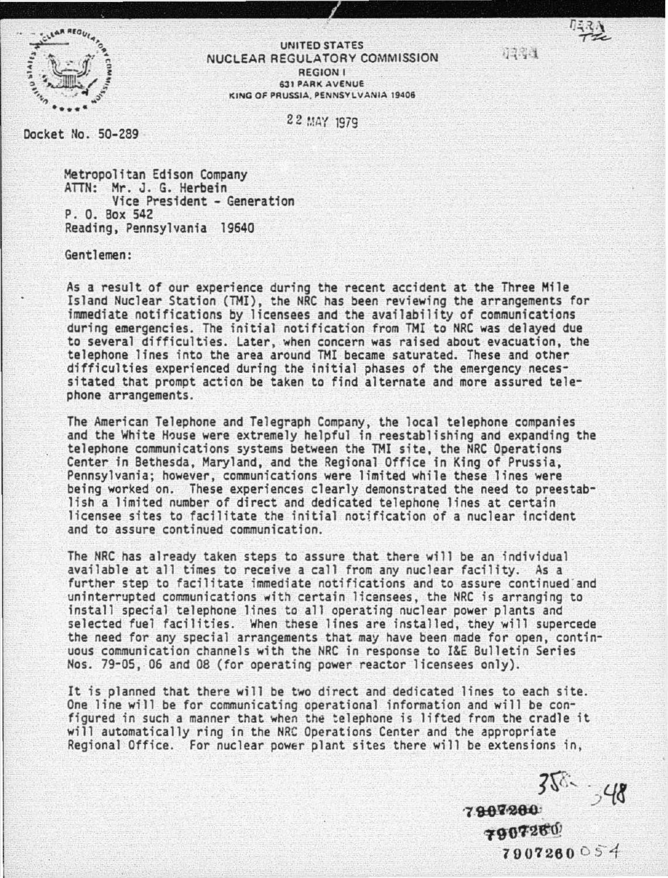

## UNITED STATES NUCLEAR REGULATORY COMMISSION REGION I **631 PARK AVENUE** KING OF PRUSSIA, PENNSYLVANIA 19406

22 MAY 1979

Docket No. 50-289

Metropolitan Edison Company ATTN: Mr. J. G. Herbein Vice President - Generation P. 0. Box 542 Reading, Pennsylvania 19640

Gentlemen:

As a result of our experience during the recent accident at the Three Mile Island Nuclear Station (TMI), the NRC has been reviewing the arrangements *for*  immediate notifications by licensees and the availability of communications during emergencies. The initial notification from TMI to NRC was delayed due to several difficulties. Later, when concern was raised about evacuation, the telephone lines into the area around TMI became saturated. These and other difficulties experienced during the initial phases *of* the emergency necessitated that prompt action be taken to find alternate and more assured telephone arrangements.

The American Telephone and Telegraph Company, the local telephone companies and the White House were extremely helpful in reestablishing and expanding the telephone communications systems between the TMI site, the NRC Oper Center in Bethesda, Maryland, and the Regional Office in King of Prussia, Pennsylvania; however, communications were limited while these lines were being worked on. These experiences clearly demonstrated the need to preestablish a limited number *of* direct and dedicated telephone lines at certain licensee sites to facilitate the initial notification of a nuclear incident and to assure continued communication.

The NRC has already taken steps to assure that there will be an individual available at all times to receive a call from any nuclear facility. As a further step to facilitate immediate notifications and to assure continued and uninterrupted communications with certain licensees, the NRC is arranging to install special telephone lines to all operating nuclear power plants and<br>selected fuel facilities. When these lines are installed, they will supercede the need for any special arrangements that may have been made for open, continuous communication channels with the NRC in response to I&E Bulletin Series Nos. 79-05, 06 and 08 (for operating power reactor licensees only).

It is planned that there will be two direct and dedicated lines to each site. One line will be for communicating operational information and will be configured in such a manner that when the telephone is lifted from the cradle it will automatically ring in the NRC Operations Center and the appropriate Regional Office. For nuclear power plant sites there will be extensions in,

?tt, **.;/{8**  $7907200$ 

7907260 7907260 05'4

7231